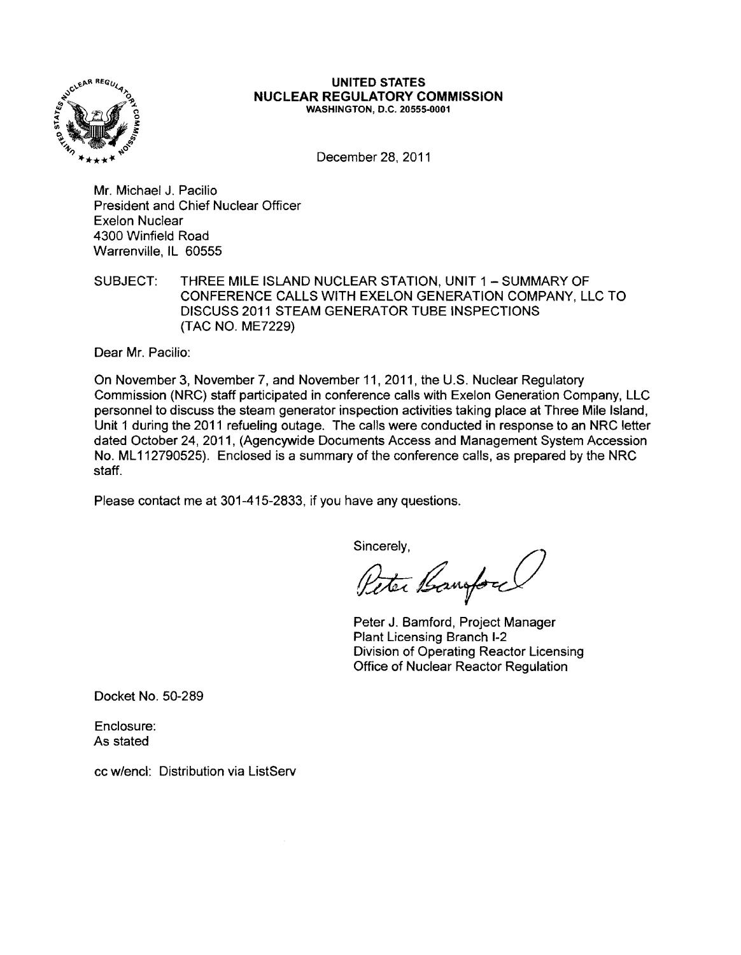

#### UNITED STATES NUCLEAR REGULATORY COMMISSION WASHINGTON, D.C. 20555-0001

December 28, 2011

Mr. Michael J. Pacilio President and Chief Nuclear Officer Exelon Nuclear 4300 Winfield Road Warrenville, IL 60555

SUBJECT: THREE MILE ISLAND NUCLEAR STATION, UNIT 1 - SUMMARY OF CONFERENCE CALLS WITH EXELON GENERATION COMPANY, LLC TO DISCUSS 2011 STEAM GENERATOR TUBE INSPECTIONS (TAC NO. ME7229)

Dear Mr. Pacilio:

On November 3, November 7, and November 11,2011, the U.S. Nuclear Regulatory Commission (NRC) staff participated in conference calls with Exelon Generation Company, LLC personnel to discuss the steam generator inspection activities taking place at Three Mile Island, Unit 1 during the 2011 refueling outage. The calls were conducted in response to an NRC letter dated October 24, 2011, (Agencywide Documents Access and Management System Accession No. ML112790525). Enclosed is a summary of the conference calls, as prepared by the NRC staff.

Please contact me at 301-415-2833, if you have any questions.

Sincerely,

Peter Banford

Peter J. Bamford, Project Manager Plant Licensing Branch 1-2 Division of Operating Reactor Licensing Office of Nuclear Reactor Regulation

Docket No. 50-289

Enclosure: As stated

cc w/encl: Distribution via ListServ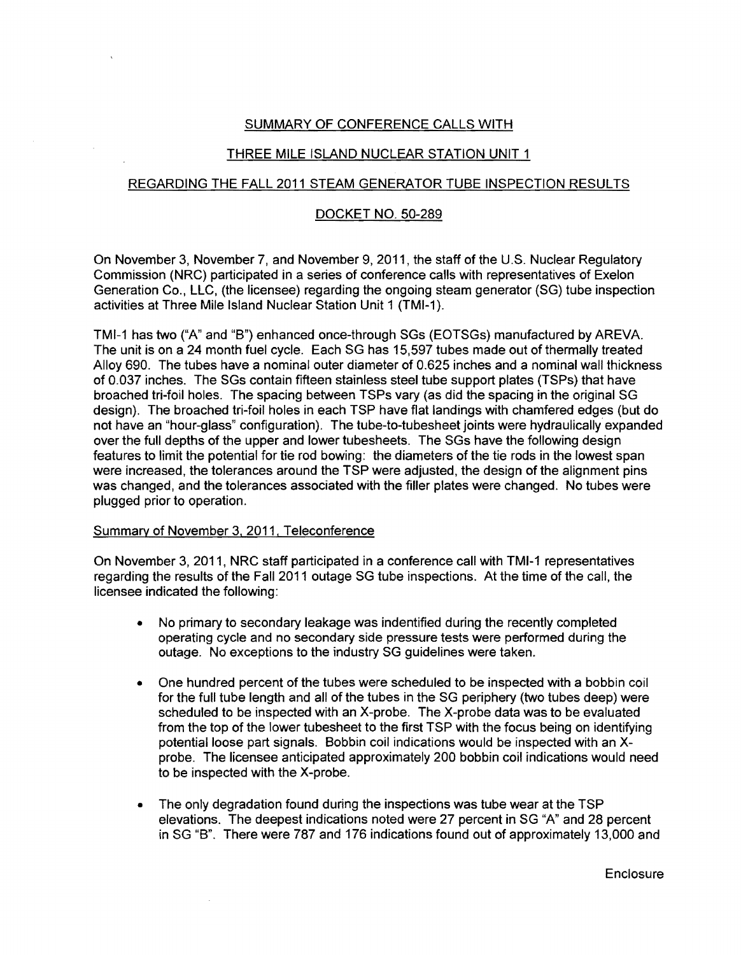# SUMMARY OF CONFERENCE CALLS WITH

# THREE MILE ISLAND NUCLEAR STATION UNIT 1

## REGARDING THE FALL 2011 STEAM GENERATOR TUSE INSPECTION RESULTS

### DOCKET NO. 50-289

On November 3, November 7, and November 9, 2011, the staff of the U.S. Nuclear Regulatory Commission (NRC) participated in a series of conference calls with representatives of Exelon Generation Co., LLC, (the licensee) regarding the ongoing steam generator (SG) tube inspection activities at Three Mile Island Nuclear Station Unit 1 (TMI-1).

TMI-1 has two ("A" and "B") enhanced once-through SGs (EOTSGs) manufactured by AREVA. The unit is on a 24 month fuel cycle. Each SG has 15,597 tubes made out of thermally treated Alloy 690. The tubes have a nominal outer diameter of 0.625 inches and a nominal wall thickness of 0.037 inches. The SGs contain fifteen stainless steel tube support plates (TSPs) that have broached tri-foil holes. The spacing between TSPs vary (as did the spacing in the original SG design). The broached tri-foil holes in each TSP have flat landings with chamfered edges (but do not have an "hour-glass" configuration). The tube-to-tubesheet joints were hydraulically expanded over the full depths of the upper and lower tubesheets. The SGs have the following design features to limit the potential for tie rod bowing: the diameters of the tie rods in the lowest span were increased, the tolerances around the TSP were adjusted, the design of the alignment pins was changed, and the tolerances associated with the filler plates were changed. No tubes were plugged prior to operation.

### Summary of November 3. 2011. Teleconference

On November 3,2011, NRC staff participated in a conference call with TMI-1 representatives regarding the results of the Fall 2011 outage SG tube inspections. At the time of the call, the licensee indicated the following:

- No primary to secondary leakage was indentified during the recently completed operating cycle and no secondary side pressure tests were performed during the outage. No exceptions to the industry SG guidelines were taken.
- One hundred percent of the tubes were scheduled to be inspected with a bobbin coil for the full tube length and all of the tubes in the SG periphery (two tubes deep) were scheduled to be inspected with an X-probe. The X-probe data was to be evaluated from the top of the lower tubesheet to the first TSP with the focus being on identifying potential loose part signals. Sobbin coil indications would be inspected with an Xprobe. The licensee anticipated approximately 200 bobbin coil indications would need to be inspected with the X-probe.
- The only degradation found during the inspections was tube wear at the TSP elevations. The deepest indications noted were 27 percent in SG "A" and 28 percent in SG "B". There were 787 and 176 indications found out of approximately 13,000 and

**Enclosure**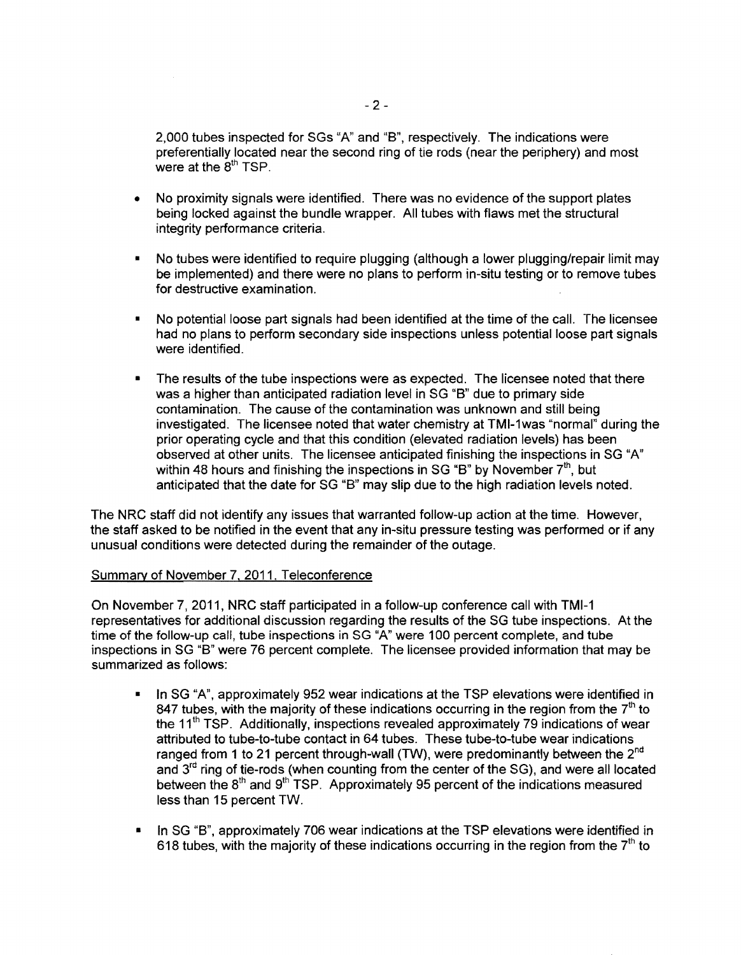2,000 tubes inspected for SGs "A" and "B", respectively. The indications were preferentially located near the second ring of tie rods (near the periphery) and most were at the  $8<sup>th</sup> TSP$ .

- No proximity signals were identified. There was no evidence of the support plates being locked against the bundle wrapper. All tubes with flaws met the structural integrity performance criteria.
- No tubes were identified to require plugging (although a lower plugging/repair limit may be implemented) and there were no plans to perform in-situ testing or to remove tubes for destructive examination.
- No potential loose part signals had been identified at the time of the call. The licensee had no plans to perform secondary side inspections unless potential loose part signals were identified.
- The results of the tube inspections were as expected. The licensee noted that there was a higher than anticipated radiation level in SG "B" due to primary side contamination. The cause of the contamination was unknown and still being investigated. The licensee noted that water chemistry at TMI-1was "normal" during the prior operating cycle and that this condition (elevated radiation levels) has been observed at other units. The licensee anticipated finishing the inspections in SG "A" within 48 hours and finishing the inspections in SG "B" by November  $7<sup>th</sup>$ , but anticipated that the date for SG "8" may slip due to the high radiation levels noted.

The NRC staff did not identify any issues that warranted follow-up action at the time. However, the staff asked to be notified in the event that any in-situ pressure testing was performed or if any unusual conditions were detected during the remainder of the outage.

### Summary of November 7.2011. Teleconference

On November 7, 2011, NRC staff participated in a follow-up conference call with TMI-1 representatives for additional discussion regarding the results of the SG tube inspections. At the time of the follow-up call, tube inspections in SG "A" were 100 percent complete, and tube inspections in SG "8" were 76 percent complete. The licensee provided information that may be summarized as follows:

- In SG "A", approximately 952 wear indications at the TSP elevations were identified in 847 tubes, with the majority of these indications occurring in the region from the  $7<sup>th</sup>$  to the 11<sup>th</sup> TSP. Additionally, inspections revealed approximately 79 indications of wear attributed to tube-to-tube contact in 64 tubes. These tube-to-tube wear indications ranged from 1 to 21 percent through-wall (TW), were predominantly between the  $2^{nd}$ and  $3<sup>rd</sup>$  ring of tie-rods (when counting from the center of the SG), and were all located between the  $8<sup>th</sup>$  and  $9<sup>th</sup>$  TSP. Approximately 95 percent of the indications measured less than 15 percent TW.
- In SG "B", approximately 706 wear indications at the TSP elevations were identified in 618 tubes, with the majority of these indications occurring in the region from the  $7<sup>th</sup>$  to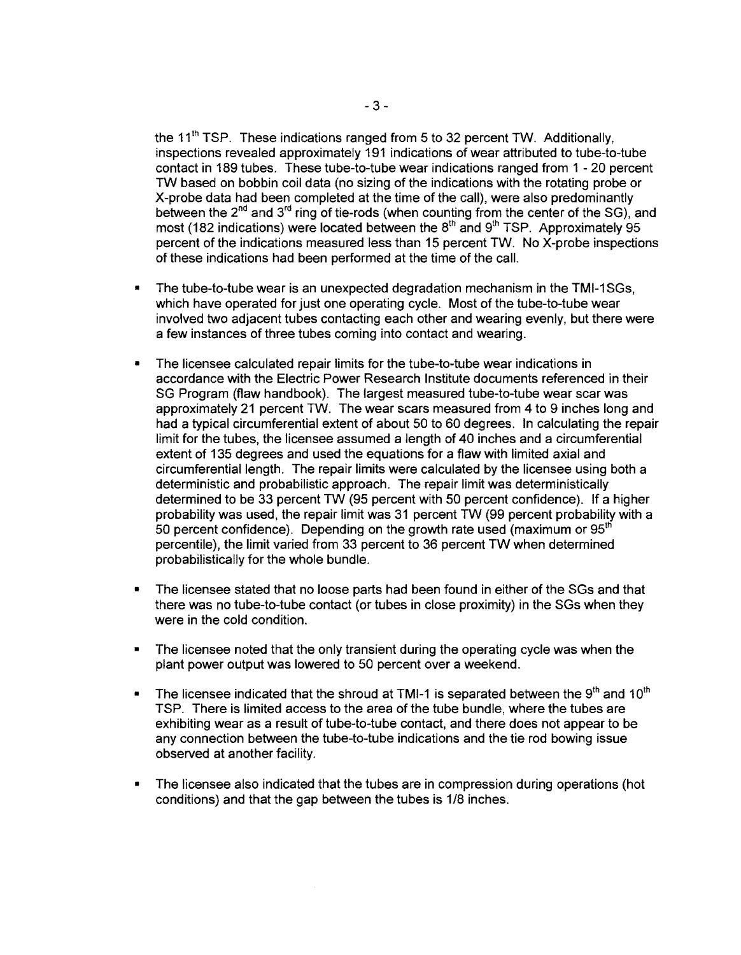the 11<sup>th</sup> TSP. These indications ranged from 5 to 32 percent TW. Additionally, inspections revealed approximately 191 indications of wear attributed to tube-to-tube contact in 189 tubes. These tube-to-tube wear indications ranged from 1 - 20 percent TW based on bobbin coil data (no sizing of the indications with the rotating probe or X-probe data had been completed at the time of the call), were also predominantly between the  $2^{nd}$  and  $3^{rd}$  ring of tie-rods (when counting from the center of the SG), and most (182 indications) were located between the  $8<sup>th</sup>$  and  $9<sup>th</sup>$  TSP. Approximately 95 percent of the indications measured less than 15 percent TW. No X-probe inspections of these indications had been performed at the time of the call.

- The tube-to-tube wear is an unexpected degradation mechanism in the TMI-1SGs, which have operated for just one operating cycle. Most of the tube-to-tube wear involved two adjacent tubes contacting each other and wearing evenly, but there were a few instances of three tubes coming into contact and wearing.
- The licensee calculated repair limits for the tube-to-tube wear indications in accordance with the Electric Power Research Institute documents referenced in their SG Program (flaw handbook). The largest measured tube-to-tube wear scar was approximately 21 percent TW. The wear scars measured from 4 to 9 inches long and had a typical circumferential extent of about 50 to 60 degrees. In calculating the repair limit for the tubes, the licensee assumed a length of 40 inches and a circumferential extent of 135 degrees and used the equations for a flaw with limited axial and circumferential length. The repair limits were calculated by the licensee using both a deterministic and probabilistic approach. The repair limit was deterministically determined to be 33 percent TW (95 percent with 50 percent confidence). If a higher probability was used, the repair limit was 31 percent TW (99 percent probability with a 50 percent confidence). Depending on the growth rate used (maximum or  $95<sup>th</sup>$ percentile), the limit varied from 33 percent to 36 percent TW when determined probabilistically for the whole bundle.
- The licensee stated that no loose parts had been found in either of the SGs and that there was no tube-to-tube contact (or tubes in close proximity) in the SGs when they were in the cold condition.
- The licensee noted that the only transient during the operating cycle was when the plant power output was lowered to 50 percent over a weekend.
- The licensee indicated that the shroud at TMI-1 is separated between the  $9<sup>th</sup>$  and  $10<sup>th</sup>$ TSP. There is limited access to the area of the tube bundle, where the tubes are exhibiting wear as a result of tube-to-tube contact, and there does not appear to be any connection between the tube-to-tube indications and the tie rod bowing issue observed at another facility.
- The licensee also indicated that the tubes are in compression during operations (hot conditions) and that the gap between the tubes is 1/8 inches.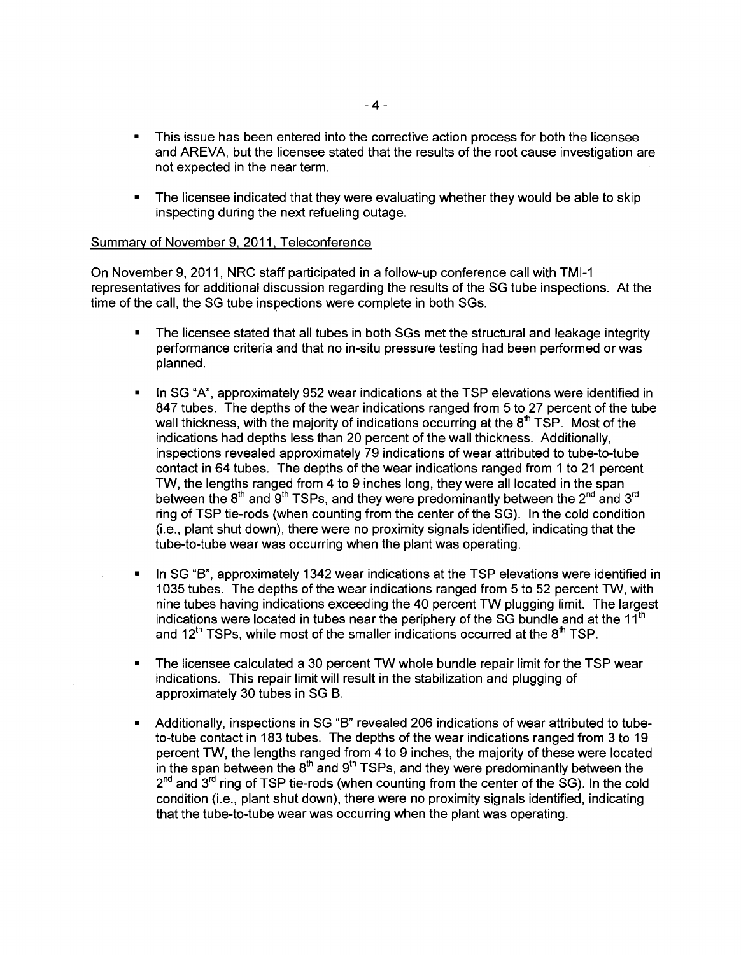- This issue has been entered into the corrective action process for both the licensee and AREVA, but the licensee stated that the results of the root cause investigation are not expected in the near term.
- The licensee indicated that they were evaluating whether they would be able to skip inspecting during the next refueling outage.

#### Summary of November 9,2011, Teleconference

On November 9,2011, NRC staff participated in a follow-up conference call with TMI-1 representatives for additional discussion regarding the results of the SG tube inspections. At the time of the call, the SG tube inspections were complete in both SGs.

- The licensee stated that all tubes in both SGs met the structural and leakage integrity performance criteria and that no in-situ pressure testing had been performed or was planned.
- In SG "A", approximately 952 wear indications at the TSP elevations were identified in 847 tubes. The depths of the wear indications ranged from 5 to 27 percent of the tube wall thickness, with the majority of indications occurring at the  $8<sup>th</sup> TSP$ . Most of the indications had depths less than 20 percent of the wall thickness. Additionally, inspections revealed approximately 79 indications of wear attributed to tube-to-tube contact in 64 tubes. The depths of the wear indications ranged from 1 to 21 percent TW, the lengths ranged from 4 to 9 inches long, they were all located in the span between the  $8<sup>th</sup>$  and  $9<sup>th</sup>$  TSPs, and they were predominantly between the  $2<sup>nd</sup>$  and  $3<sup>rd</sup>$ ring of TSP tie-rods (when counting from the center of the SG). In the cold condition (i.e., plant shut down), there were no proximity signals identified, indicating that the tube-to-tube wear was occurring when the plant was operating.
- In SG "B", approximately 1342 wear indications at the TSP elevations were identified in 1035 tubes. The depths of the wear indications ranged from 5 to 52 percent TW, with nine tubes having indications exceeding the 40 percent TW plugging limit. The largest indications were located in tubes near the periphery of the SG bundle and at the  $11^{\text{th}}$ and 12<sup>th</sup> TSPs, while most of the smaller indications occurred at the  $8<sup>th</sup>$  TSP.
- The licensee calculated a 30 percent TW whole bundle repair limit for the TSP wear indications. This repair limit will result in the stabilization and plugging of approximately 30 tubes in SG 8.
- Additionally, inspections in SG "B" revealed 206 indications of wear attributed to tubeto-tube contact in 183 tubes. The depths of the wear indications ranged from 3 to 19 percent TW, the lengths ranged from 4 to 9 inches, the majority of these were located in the span between the  $8<sup>th</sup>$  and  $9<sup>th</sup>$  TSPs, and they were predominantly between the  $2<sup>nd</sup>$  and  $3<sup>rd</sup>$  ring of TSP tie-rods (when counting from the center of the SG). In the cold condition (i.e., plant shut down), there were no proximity signals identified, indicating that the tube-to-tube wear was occurring when the plant was operating.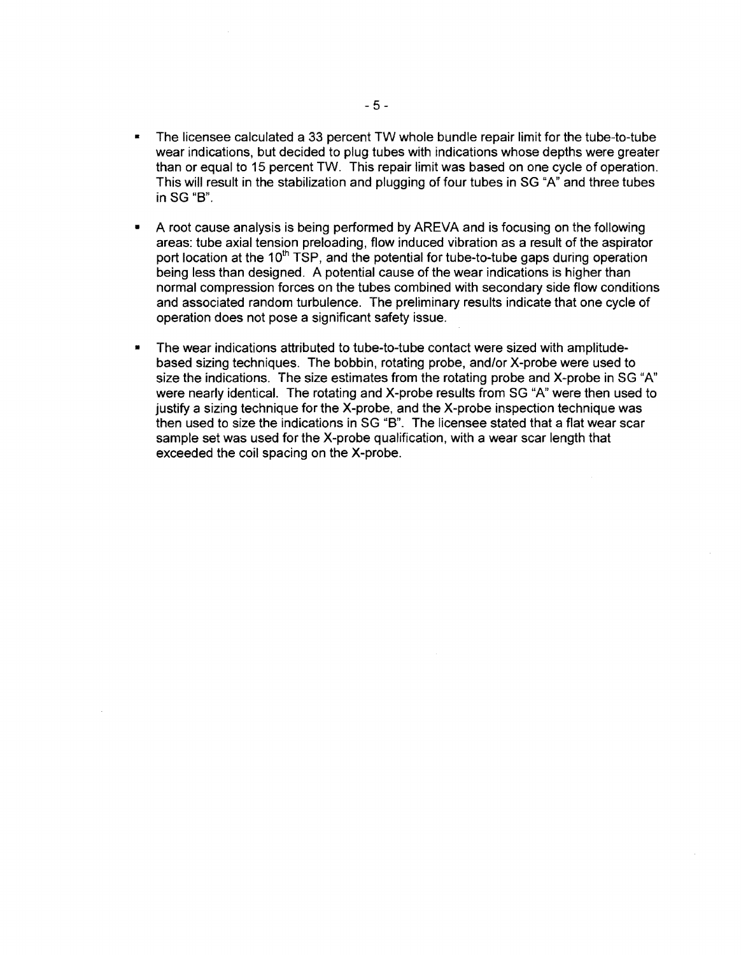- The licensee calculated a 33 percent TW whole bundle repair limit for the tube-to-tube wear indications, but decided to plug tubes with indications whose depths were greater than or equal to 15 percent TW. This repair limit was based on one cycle of operation. This will result in the stabilization and plugging of four tubes in SG "A" and three tubes inSG "8".
- A root cause analysis is being performed by AREVA and is focusing on the following areas: tube axial tension preloading, flow induced vibration as a result of the aspirator port location at the  $10<sup>th</sup>$  TSP, and the potential for tube-to-tube gaps during operation being less than designed. A potential cause of the wear indications is higher than normal compression forces on the tubes combined with secondary side flow conditions and associated random turbulence. The preliminary results indicate that one cycle of operation does not pose a significant safety issue.
- The wear indications attributed to tube-to-tube contact were sized with amplitudebased sizing techniques. The bobbin, rotating probe, and/or X-probe were used to size the indications. The size estimates from the rotating probe and X-probe in SG "A" were nearly identical. The rotating and X-probe results from SG "A" were then used to justify a sizing technique for the X-probe, and the X-probe inspection technique was then used to size the indications in SG "8". The licensee stated that a flat wear scar sample set was used for the X-probe qualification, with a wear scar length that exceeded the coil spacing on the X-probe.